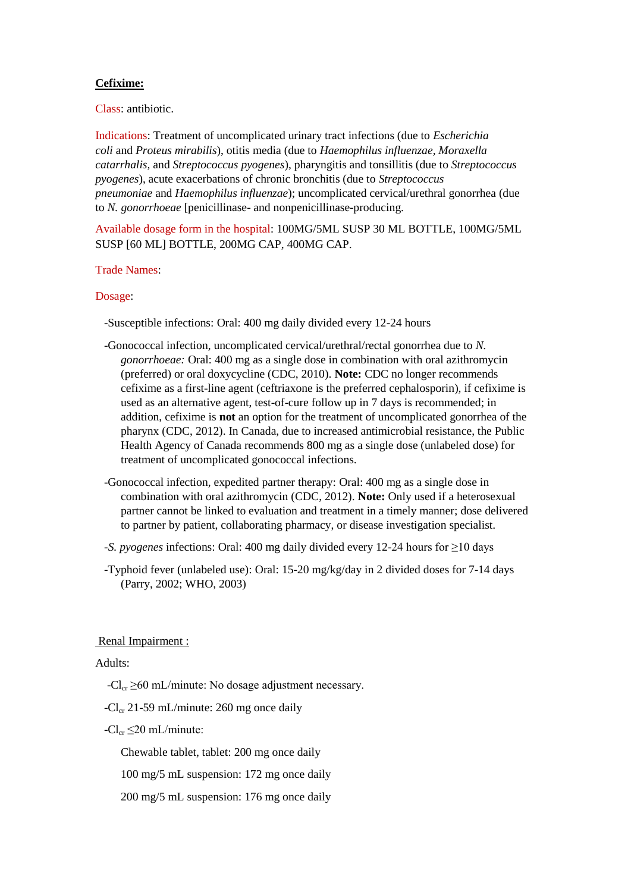# **Cefixime:**

Class: antibiotic.

Indications: Treatment of uncomplicated urinary tract infections (due to *Escherichia coli* and *Proteus mirabilis*), otitis media (due to *Haemophilus influenzae, Moraxella catarrhalis,* and *Streptococcus pyogenes*), pharyngitis and tonsillitis (due to *Streptococcus pyogenes*), acute exacerbations of chronic bronchitis (due to *Streptococcus pneumoniae* and *Haemophilus influenzae*); uncomplicated cervical/urethral gonorrhea (due to *N. gonorrhoeae* [penicillinase- and nonpenicillinase-producing.

Available dosage form in the hospital: 100MG/5ML SUSP 30 ML BOTTLE, 100MG/5ML SUSP [60 ML] BOTTLE, 200MG CAP, 400MG CAP.

## Trade Names:

## Dosage:

-Susceptible infections: Oral: 400 mg daily divided every 12-24 hours

- -Gonococcal infection, uncomplicated cervical/urethral/rectal gonorrhea due to *N. gonorrhoeae:* Oral: 400 mg as a single dose in combination with oral azithromycin (preferred) or oral doxycycline (CDC, 2010). **Note:** CDC no longer recommends cefixime as a first-line agent (ceftriaxone is the preferred cephalosporin), if cefixime is used as an alternative agent, test-of-cure follow up in 7 days is recommended; in addition, cefixime is **not** an option for the treatment of uncomplicated gonorrhea of the pharynx (CDC, 2012). In Canada, due to increased antimicrobial resistance, the Public Health Agency of Canada recommends 800 mg as a single dose (unlabeled dose) for treatment of uncomplicated gonococcal infections.
- -Gonococcal infection, expedited partner therapy: Oral: 400 mg as a single dose in combination with oral azithromycin (CDC, 2012). **Note:** Only used if a heterosexual partner cannot be linked to evaluation and treatment in a timely manner; dose delivered to partner by patient, collaborating pharmacy, or disease investigation specialist.
- *-S. pyogenes* infections: Oral: 400 mg daily divided every 12-24 hours for ≥10 days
- -Typhoid fever (unlabeled use): Oral: 15-20 mg/kg/day in 2 divided doses for 7-14 days (Parry, 2002; WHO, 2003)

#### Renal Impairment :

## Adults:

- $-Cl_{cr} \geq 60$  mL/minute: No dosage adjustment necessary.
- -Cl<sub>cr</sub> 21-59 mL/minute: 260 mg once daily
- $-Cl_{cr} \leq 20$  mL/minute:

Chewable tablet, tablet: 200 mg once daily

- 100 mg/5 mL suspension: 172 mg once daily
- 200 mg/5 mL suspension: 176 mg once daily